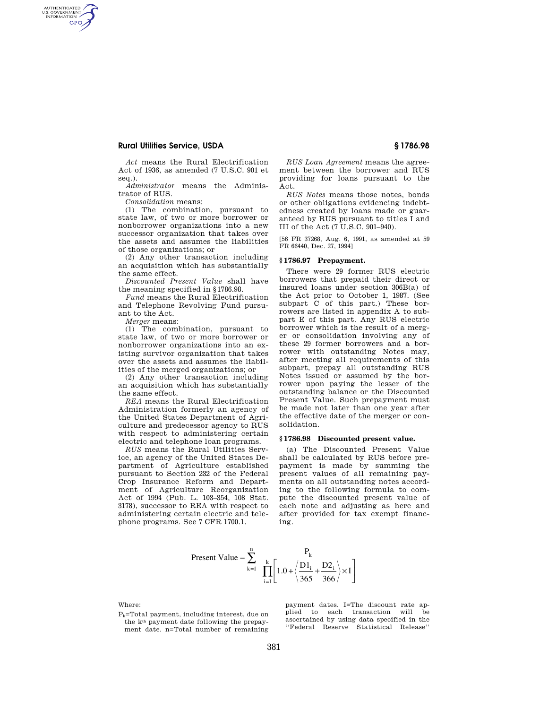## **Rural Utilities Service, USDA § 1786.98**

AUTHENTICATED<br>U.S. GOVERNMENT<br>INFORMATION **GPO** 

> *Act* means the Rural Electrification Act of 1936, as amended (7 U.S.C. 901 et seq.).

> *Administrator* means the Administrator of RUS.

*Consolidation* means:

(1) The combination, pursuant to state law, of two or more borrower or nonborrower organizations into a new successor organization that takes over the assets and assumes the liabilities of those organizations; or

(2) Any other transaction including an acquisition which has substantially the same effect.

*Discounted Present Value* shall have the meaning specified in §1786.98.

*Fund* means the Rural Electrification and Telephone Revolving Fund pursuant to the Act.

*Merger* means:

(1) The combination, pursuant to state law, of two or more borrower or nonborrower organizations into an existing survivor organization that takes over the assets and assumes the liabilities of the merged organizations; or

(2) Any other transaction including an acquisition which has substantially the same effect.

*REA* means the Rural Electrification Administration formerly an agency of the United States Department of Agriculture and predecessor agency to RUS with respect to administering certain electric and telephone loan programs.

*RUS* means the Rural Utilities Service, an agency of the United States Department of Agriculture established pursuant to Section 232 of the Federal Crop Insurance Reform and Department of Agriculture Reorganization Act of 1994 (Pub. L. 103–354, 108 Stat. 3178), successor to REA with respect to administering certain electric and telephone programs. See 7 CFR 1700.1.

*RUS Loan Agreement* means the agreement between the borrower and RUS providing for loans pursuant to the Act.

*RUS Notes* means those notes, bonds or other obligations evidencing indebtedness created by loans made or guaranteed by RUS pursuant to titles I and III of the Act (7 U.S.C. 901–940).

[56 FR 37268, Aug. 6, 1991, as amended at 59 FR 66440, Dec. 27, 1994]

## **§ 1786.97 Prepayment.**

There were 29 former RUS electric borrowers that prepaid their direct or insured loans under section 306B(a) of the Act prior to October 1, 1987. (See subpart C of this part.) These borrowers are listed in appendix A to subpart E of this part. Any RUS electric borrower which is the result of a merger or consolidation involving any of these 29 former borrowers and a borrower with outstanding Notes may, after meeting all requirements of this subpart, prepay all outstanding RUS Notes issued or assumed by the borrower upon paying the lesser of the outstanding balance or the Discounted Present Value. Such prepayment must be made not later than one year after the effective date of the merger or consolidation.

#### **§ 1786.98 Discounted present value.**

(a) The Discounted Present Value shall be calculated by RUS before prepayment is made by summing the present values of all remaining payments on all outstanding notes according to the following formula to compute the discounted present value of each note and adjusting as here and after provided for tax exempt financing.

Present Value = 
$$
\sum_{k=1}^{n} \frac{P_k}{\prod_{i=1}^{k} \left[ 1.0 + \left\langle \frac{D1_i}{365} + \frac{D2_i}{366} \right\rangle \times I \right]}
$$

Where:

 $P_k$ =Total payment, including interest, due on the kth payment date following the prepayment date. n=Total number of remaining payment dates. I=The discount rate applied to each transaction will be ascertained by using data specified in the ''Federal Reserve Statistical Release''